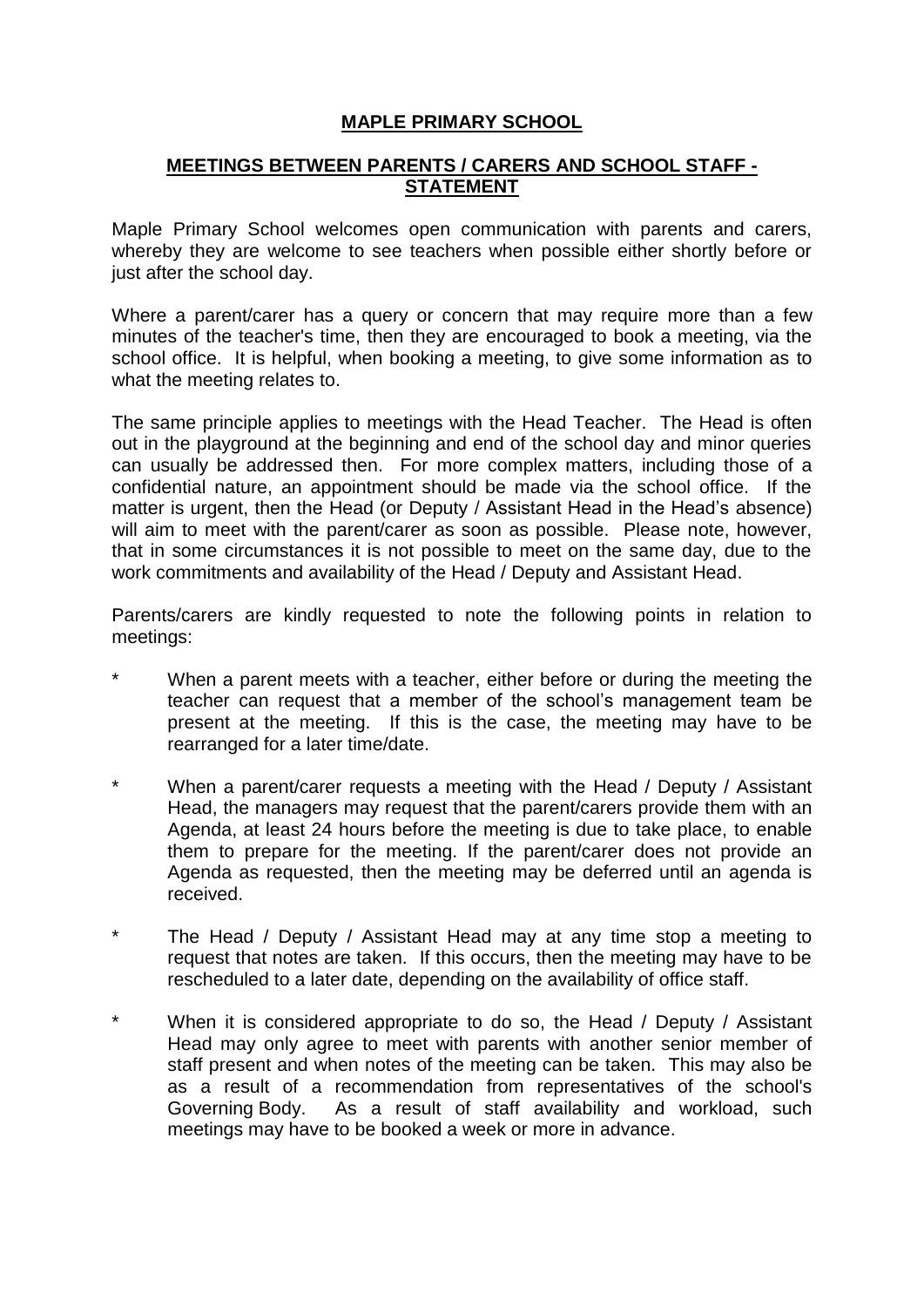## **MAPLE PRIMARY SCHOOL**

## **MEETINGS BETWEEN PARENTS / CARERS AND SCHOOL STAFF - STATEMENT**

Maple Primary School welcomes open communication with parents and carers, whereby they are welcome to see teachers when possible either shortly before or just after the school day.

Where a parent/carer has a query or concern that may require more than a few minutes of the teacher's time, then they are encouraged to book a meeting, via the school office. It is helpful, when booking a meeting, to give some information as to what the meeting relates to.

The same principle applies to meetings with the Head Teacher. The Head is often out in the playground at the beginning and end of the school day and minor queries can usually be addressed then. For more complex matters, including those of a confidential nature, an appointment should be made via the school office. If the matter is urgent, then the Head (or Deputy / Assistant Head in the Head's absence) will aim to meet with the parent/carer as soon as possible. Please note, however, that in some circumstances it is not possible to meet on the same day, due to the work commitments and availability of the Head / Deputy and Assistant Head.

Parents/carers are kindly requested to note the following points in relation to meetings:

- When a parent meets with a teacher, either before or during the meeting the teacher can request that a member of the school's management team be present at the meeting. If this is the case, the meeting may have to be rearranged for a later time/date.
- \* When a parent/carer requests a meeting with the Head / Deputy / Assistant Head, the managers may request that the parent/carers provide them with an Agenda, at least 24 hours before the meeting is due to take place, to enable them to prepare for the meeting. If the parent/carer does not provide an Agenda as requested, then the meeting may be deferred until an agenda is received.
- The Head / Deputy / Assistant Head may at any time stop a meeting to request that notes are taken. If this occurs, then the meeting may have to be rescheduled to a later date, depending on the availability of office staff.
- When it is considered appropriate to do so, the Head / Deputy / Assistant Head may only agree to meet with parents with another senior member of staff present and when notes of the meeting can be taken. This may also be as a result of a recommendation from representatives of the school's Governing Body. As a result of staff availability and workload, such meetings may have to be booked a week or more in advance.